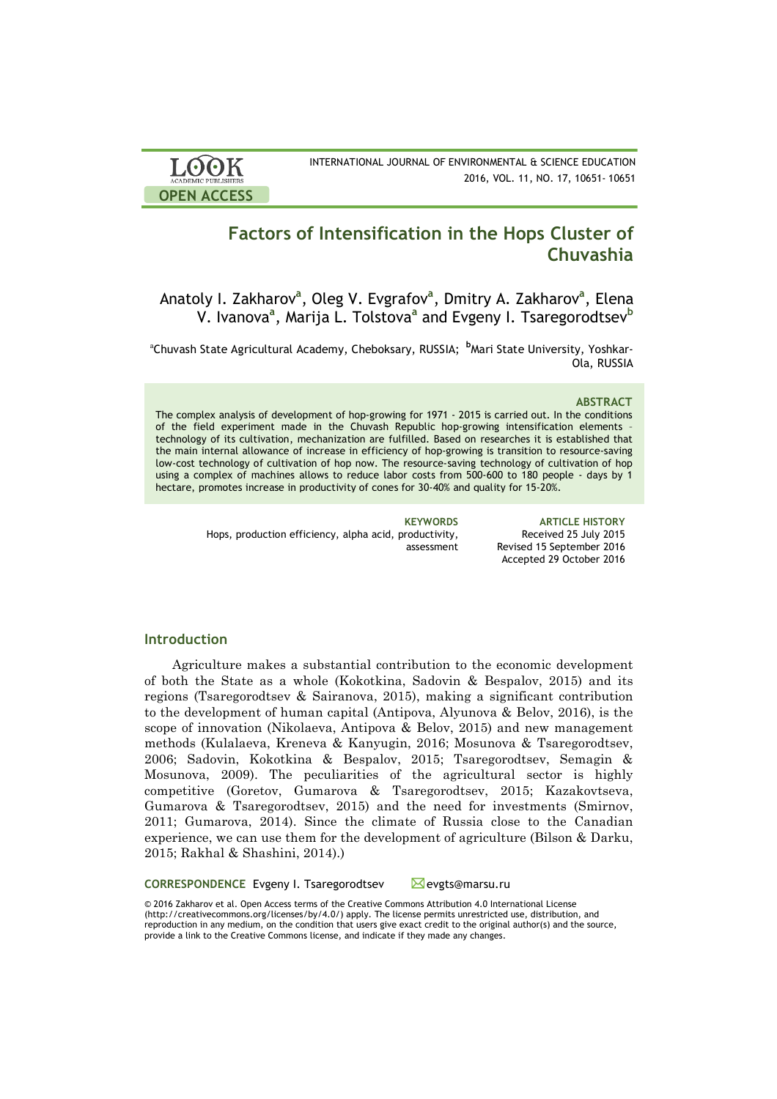

INTERNATIONAL JOURNAL OF ENVIRONMENTAL & SCIENCE EDUCATION 2016, VOL. 11, NO. 17, 10651- 10651

# **Factors of Intensification in the Hops Cluster of Chuvashia**

Anatoly I. Zakharov<sup>a</sup>, Oleg V. Evgrafov<sup>a</sup>, Dmitry A. Zakharov<sup>a</sup>, Elena V. Ivanova**<sup>a</sup>** , Marija L. Tolstova**<sup>a</sup>** and Evgeny I. Tsaregorodtsev**<sup>b</sup>**

<sup>a</sup>Chuvash State Agricultural Academy, Cheboksary, RUSSIA; <sup>b</sup>Mari State University, Yoshkar-Ola, RUSSIA

### **ABSTRACT**

The complex analysis of development of hop-growing for 1971 - 2015 is carried out. In the conditions of the field experiment made in the Chuvash Republic hop-growing intensification elements – technology of its cultivation, mechanization are fulfilled. Based on researches it is established that the main internal allowance of increase in efficiency of hop-growing is transition to resource-saving low-cost technology of cultivation of hop now. The resource-saving technology of cultivation of hop using a complex of machines allows to reduce labor costs from 500-600 to 180 people - days by 1 hectare, promotes increase in productivity of cones for 30-40% and quality for 15-20%.

> Hops, production efficiency, alpha acid, productivity, assessment

**KEYWORDS ARTICLE HISTORY** Received 25 July 2015 Revised 15 September 2016 Accepted 29 October 2016

# **Introduction**

Agriculture makes a substantial contribution to the economic development of both the State as a whole (Kokotkina, Sadovin & Bespalov, 2015) and its regions (Tsaregorodtsev & Sairanova, 2015), making a significant contribution to the development of human capital (Antipova, Alyunova & Belov, 2016), is the scope of innovation (Nikolaeva, Antipova & Belov, 2015) and new management methods (Kulalaeva, Kreneva & Kanyugin, 2016; Mosunova & Tsaregorodtsev, 2006; Sadovin, Kokotkina & Bespalov, 2015; Tsaregorodtsev, Semagin & Mosunova, 2009). The peculiarities of the agricultural sector is highly competitive (Goretov, Gumarova & Tsaregorodtsev, 2015; Kazakovtseva, Gumarova & Tsaregorodtsev, 2015) and the need for investments (Smirnov, 2011; Gumarova, 2014). Since the climate of Russia close to the Canadian experience, we can use them for the development of agriculture (Bilson & Darku, 2015; Rakhal & Shashini, 2014).)

**CORRESPONDENCE** Evgeny I. Tsaregorodtsev **Example 20** evgts@marsu.ru © 2016 Zakharov et al. Open Access terms of the Creative Commons Attribution 4.0 International License (http://creativecommons.org/licenses/by/4.0/) apply. The license permits unrestricted use, distribution, and reproduction in any medium, on the condition that users give exact credit to the original author(s) and the source,

provide a link to the Creative Commons license, and indicate if they made any changes.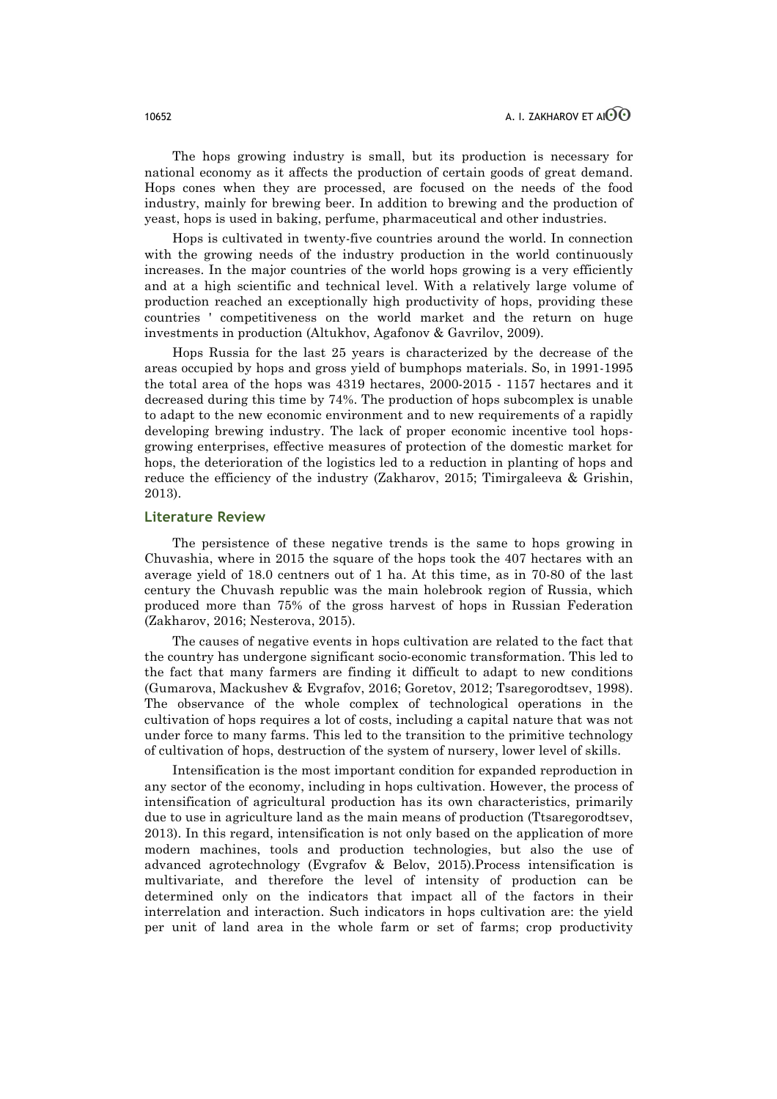The hops growing industry is small, but its production is necessary for national economy as it affects the production of certain goods of great demand. Hops cones when they are processed, are focused on the needs of the food industry, mainly for brewing beer. In addition to brewing and the production of yeast, hops is used in baking, perfume, pharmaceutical and other industries.

Hops is cultivated in twenty-five countries around the world. In connection with the growing needs of the industry production in the world continuously increases. In the major countries of the world hops growing is a very efficiently and at a high scientific and technical level. With a relatively large volume of production reached an exceptionally high productivity of hops, providing these countries ' competitiveness on the world market and the return on huge investments in production (Altukhov, Agafonov & Gavrilov, 2009).

Hops Russia for the last 25 years is characterized by the decrease of the areas occupied by hops and gross yield of bumphops materials. So, in 1991-1995 the total area of the hops was 4319 hectares, 2000-2015 - 1157 hectares and it decreased during this time by 74%. The production of hops subcomplex is unable to adapt to the new economic environment and to new requirements of a rapidly developing brewing industry. The lack of proper economic incentive tool hopsgrowing enterprises, effective measures of protection of the domestic market for hops, the deterioration of the logistics led to a reduction in planting of hops and reduce the efficiency of the industry (Zakharov, 2015; Timirgaleeva & Grishin, 2013).

### **Literature Review**

The persistence of these negative trends is the same to hops growing in Chuvashia, where in 2015 the square of the hops took the 407 hectares with an average yield of 18.0 centners out of 1 ha. At this time, as in 70-80 of the last century the Chuvash republic was the main holebrook region of Russia, which produced more than 75% of the gross harvest of hops in Russian Federation (Zakharov, 2016; Nesterova, 2015).

The causes of negative events in hops cultivation are related to the fact that the country has undergone significant socio-economic transformation. This led to the fact that many farmers are finding it difficult to adapt to new conditions (Gumarova, Mackushev & Evgrafov, 2016; Goretov, 2012; Tsaregorodtsev, 1998). The observance of the whole complex of technological operations in the cultivation of hops requires a lot of costs, including a capital nature that was not under force to many farms. This led to the transition to the primitive technology of cultivation of hops, destruction of the system of nursery, lower level of skills.

Intensification is the most important condition for expanded reproduction in any sector of the economy, including in hops cultivation. However, the process of intensification of agricultural production has its own characteristics, primarily due to use in agriculture land as the main means of production (Ttsaregorodtsev, 2013). In this regard, intensification is not only based on the application of more modern machines, tools and production technologies, but also the use of advanced agrotechnology (Evgrafov & Belov, 2015).Process intensification is multivariate, and therefore the level of intensity of production can be determined only on the indicators that impact all of the factors in their interrelation and interaction. Such indicators in hops cultivation are: the yield per unit of land area in the whole farm or set of farms; crop productivity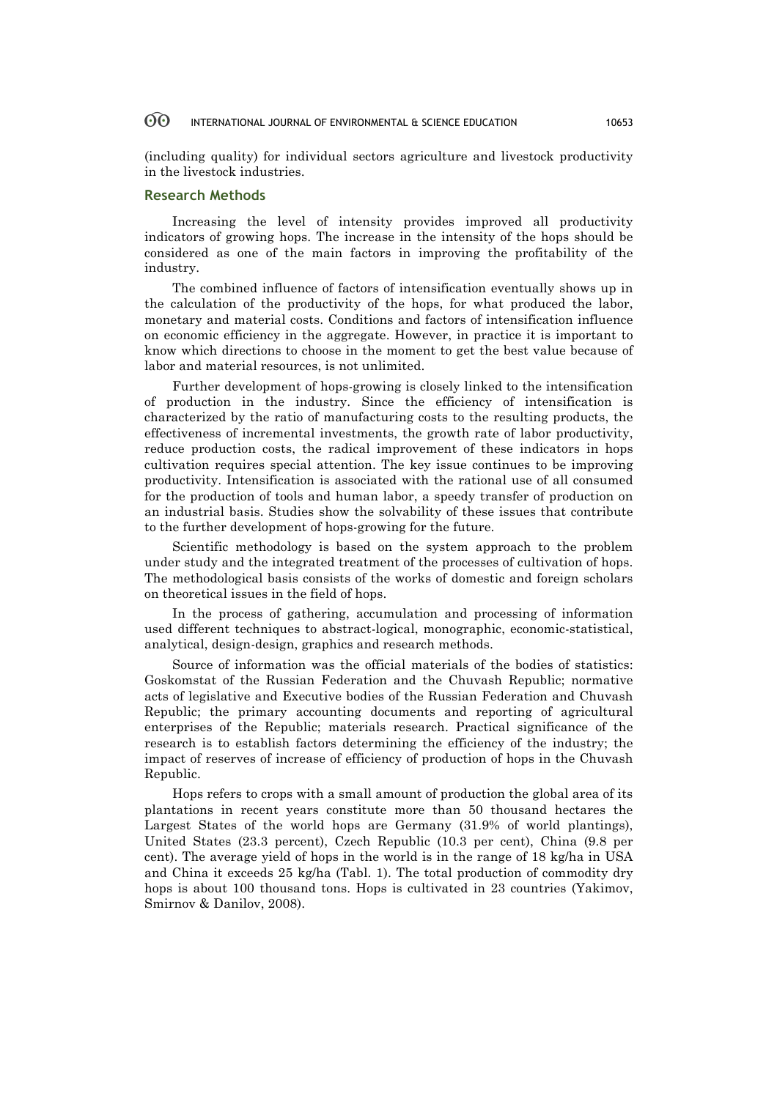#### 60 INTERNATIONAL JOURNAL OF ENVIRONMENTAL & SCIENCE EDUCATION 10653

(including quality) for individual sectors agriculture and livestock productivity in the livestock industries.

# **Research Methods**

Increasing the level of intensity provides improved all productivity indicators of growing hops. The increase in the intensity of the hops should be considered as one of the main factors in improving the profitability of the industry.

The combined influence of factors of intensification eventually shows up in the calculation of the productivity of the hops, for what produced the labor, monetary and material costs. Conditions and factors of intensification influence on economic efficiency in the aggregate. However, in practice it is important to know which directions to choose in the moment to get the best value because of labor and material resources, is not unlimited.

Further development of hops-growing is closely linked to the intensification of production in the industry. Since the efficiency of intensification is characterized by the ratio of manufacturing costs to the resulting products, the effectiveness of incremental investments, the growth rate of labor productivity, reduce production costs, the radical improvement of these indicators in hops cultivation requires special attention. The key issue continues to be improving productivity. Intensification is associated with the rational use of all consumed for the production of tools and human labor, a speedy transfer of production on an industrial basis. Studies show the solvability of these issues that contribute to the further development of hops-growing for the future.

Scientific methodology is based on the system approach to the problem under study and the integrated treatment of the processes of cultivation of hops. The methodological basis consists of the works of domestic and foreign scholars on theoretical issues in the field of hops.

In the process of gathering, accumulation and processing of information used different techniques to abstract-logical, monographic, economic-statistical, analytical, design-design, graphics and research methods.

Source of information was the official materials of the bodies of statistics: Goskomstat of the Russian Federation and the Chuvash Republic; normative acts of legislative and Executive bodies of the Russian Federation and Chuvash Republic; the primary accounting documents and reporting of agricultural enterprises of the Republic; materials research. Practical significance of the research is to establish factors determining the efficiency of the industry; the impact of reserves of increase of efficiency of production of hops in the Chuvash Republic.

Hops refers to crops with a small amount of production the global area of its plantations in recent years constitute more than 50 thousand hectares the Largest States of the world hops are Germany (31.9% of world plantings), United States (23.3 percent), Czech Republic (10.3 per cent), China (9.8 per cent). The average yield of hops in the world is in the range of 18 kg/ha in USA and China it exceeds 25 kg/ha (Tabl. 1). The total production of commodity dry hops is about 100 thousand tons. Hops is cultivated in 23 countries (Yakimov, Smirnov & Danilov, 2008).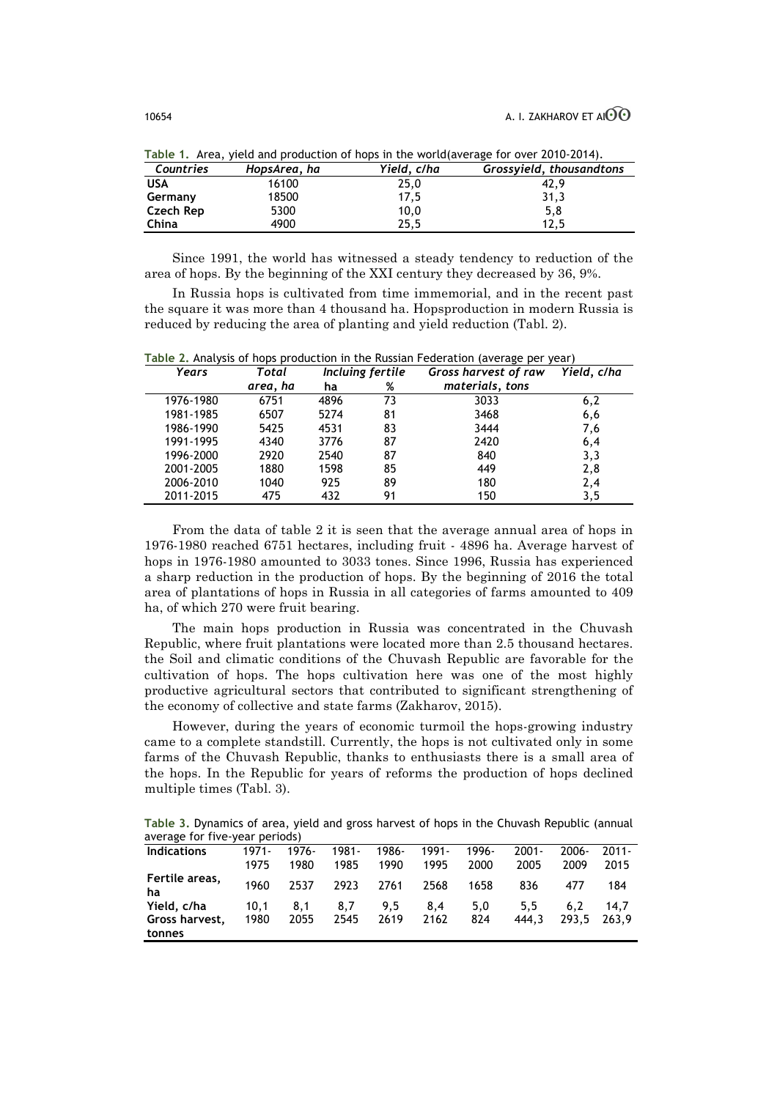| Countries  | $\frac{1}{2}$ . The contraction of the processes in the contraction of the contraction of the second second second second second second second second second second second second second second second second second second secon<br>HopsArea, ha | Yield, c/ha | Grossyield, thousandtons |
|------------|---------------------------------------------------------------------------------------------------------------------------------------------------------------------------------------------------------------------------------------------------|-------------|--------------------------|
| <b>USA</b> | 16100                                                                                                                                                                                                                                             | 25,0        | 42.9                     |
| Germany    | 18500                                                                                                                                                                                                                                             | 17,5        | 31,3                     |
| Czech Rep  | 5300                                                                                                                                                                                                                                              | 10,0        | 5,8                      |
| China      | 4900                                                                                                                                                                                                                                              | 25.5        | 12.5                     |

**Table 1.** Area, yield and production of hops in the world(average for over 2010-2014).

Since 1991, the world has witnessed a steady tendency to reduction of the area of hops. By the beginning of the XXI century they decreased by 36, 9%.

In Russia hops is cultivated from time immemorial, and in the recent past the square it was more than 4 thousand ha. Hopsproduction in modern Russia is reduced by reducing the area of planting and yield reduction (Tabl. 2).

**Table 2.** Analysis of hops production in the Russian Federation (average per year) *Years Total area, ha Incluing fertile Gross harvest of raw materials, tons Yield, c/ha* **ha %** 1976-1980 6751 4896 73 3033 6,2 1981-1985 6507 5274 81 3468 6,6 1986-1990 5425 4531 83 3444 7,6 1991-1995 4340 3776 87 2420 6,4 1996-2000 2920 2540 87 840 3,3 2001-2005 1880 1598 85 449 2,8 2006-2010 1040 925 89 180 2,4 2011-2015 475 432 91 150 3,5

From the data of table 2 it is seen that the average annual area of hops in 1976-1980 reached 6751 hectares, including fruit - 4896 ha. Average harvest of hops in 1976-1980 amounted to 3033 tones. Since 1996, Russia has experienced a sharp reduction in the production of hops. By the beginning of 2016 the total area of plantations of hops in Russia in all categories of farms amounted to 409 ha, of which 270 were fruit bearing.

The main hops production in Russia was concentrated in the Chuvash Republic, where fruit plantations were located more than 2.5 thousand hectares. the Soil and climatic conditions of the Chuvash Republic are favorable for the cultivation of hops. The hops cultivation here was one of the most highly productive agricultural sectors that contributed to significant strengthening of the economy of collective and state farms (Zakharov, 2015).

However, during the years of economic turmoil the hops-growing industry came to a complete standstill. Currently, the hops is not cultivated only in some farms of the Chuvash Republic, thanks to enthusiasts there is a small area of the hops. In the Republic for years of reforms the production of hops declined multiple times (Tabl. 3).

**Table 3.** Dynamics of area, yield and gross harvest of hops in the Chuvash Republic (annual average for five-year periods)

|                                         | <b>CAINCIPOS</b> |                  |               |               |               |               |                  |                  |                  |
|-----------------------------------------|------------------|------------------|---------------|---------------|---------------|---------------|------------------|------------------|------------------|
| <b>Indications</b>                      | $1971 -$<br>1975 | $1976 -$<br>1980 | 1981-<br>1985 | 1986-<br>1990 | 1991-<br>1995 | 1996-<br>2000 | $2001 -$<br>2005 | $2006 -$<br>2009 | $2011 -$<br>2015 |
| Fertile areas,<br>ha                    | 1960             | 2537             | 2923          | 2761          | 2568          | 1658          | 836              | 477              | 184              |
| Yield, c/ha<br>Gross harvest.<br>tonnes | 10.1<br>1980     | 8.1<br>2055      | 8.7<br>2545   | 9.5<br>2619   | 8.4<br>2162   | 5.0<br>824    | 5.5<br>444.3     | 6.2<br>293.5     | 14.7<br>263.9    |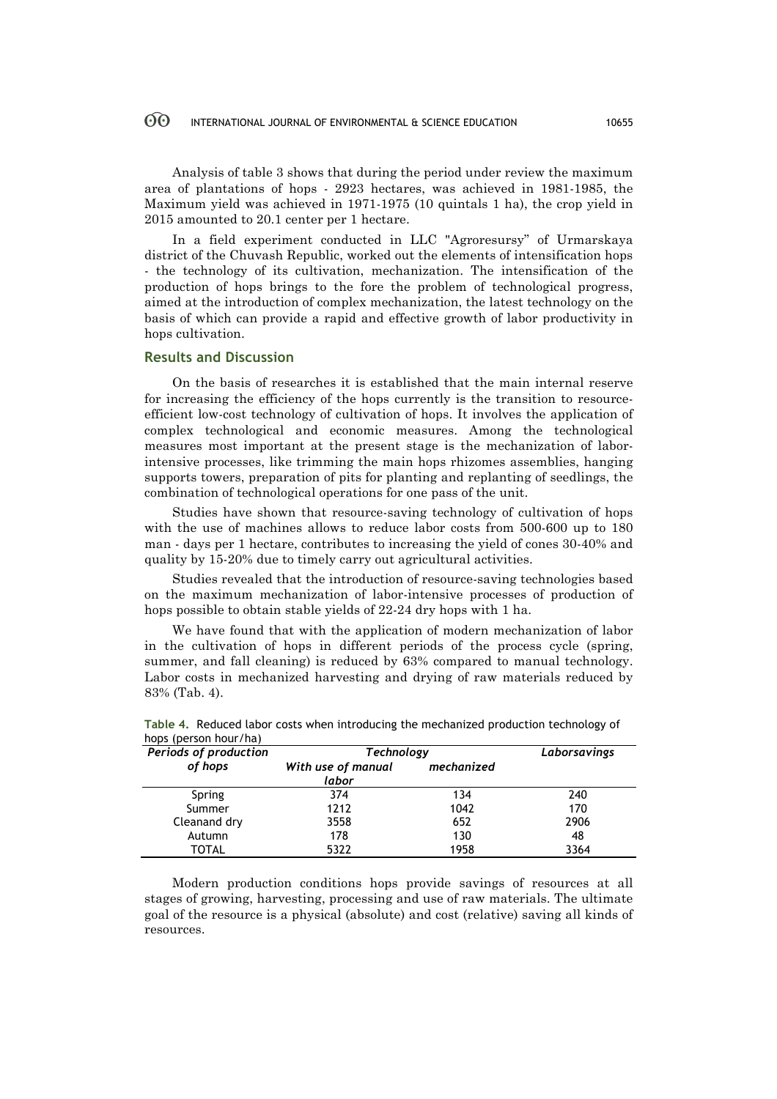#### 60 INTERNATIONAL JOURNAL OF ENVIRONMENTAL & SCIENCE EDUCATION 10655

Analysis of table 3 shows that during the period under review the maximum area of plantations of hops - 2923 hectares, was achieved in 1981-1985, the Maximum yield was achieved in 1971-1975 (10 quintals 1 ha), the crop yield in 2015 amounted to 20.1 center per 1 hectare.

In a field experiment conducted in LLC "Agroresursy" of Urmarskaya district of the Chuvash Republic, worked out the elements of intensification hops - the technology of its cultivation, mechanization. The intensification of the production of hops brings to the fore the problem of technological progress, aimed at the introduction of complex mechanization, the latest technology on the basis of which can provide a rapid and effective growth of labor productivity in hops cultivation.

### **Results and Discussion**

On the basis of researches it is established that the main internal reserve for increasing the efficiency of the hops currently is the transition to resourceefficient low-cost technology of cultivation of hops. It involves the application of complex technological and economic measures. Among the technological measures most important at the present stage is the mechanization of laborintensive processes, like trimming the main hops rhizomes assemblies, hanging supports towers, preparation of pits for planting and replanting of seedlings, the combination of technological operations for one pass of the unit.

Studies have shown that resource-saving technology of cultivation of hops with the use of machines allows to reduce labor costs from 500-600 up to 180 man - days per 1 hectare, contributes to increasing the yield of cones 30-40% and quality by 15-20% due to timely carry out agricultural activities.

Studies revealed that the introduction of resource-saving technologies based on the maximum mechanization of labor-intensive processes of production of hops possible to obtain stable yields of 22-24 dry hops with 1 ha.

We have found that with the application of modern mechanization of labor in the cultivation of hops in different periods of the process cycle (spring, summer, and fall cleaning) is reduced by 63% compared to manual technology. Labor costs in mechanized harvesting and drying of raw materials reduced by 83% (Tab. 4).

| Periods of production | Technology                  | Laborsavings |      |  |
|-----------------------|-----------------------------|--------------|------|--|
| of hops               | With use of manual<br>labor | mechanized   |      |  |
| Spring                | 374                         | 134          | 240  |  |
| Summer                | 1212                        | 1042         | 170  |  |
| Cleanand dry          | 3558                        | 652          | 2906 |  |
| Autumn                | 178                         | 130          | 48   |  |
| TOTAL                 | 5322                        | 1958         | 3364 |  |

| Table 4. Reduced labor costs when introducing the mechanized production technology of |  |  |  |
|---------------------------------------------------------------------------------------|--|--|--|
| hops (person hour/ha)                                                                 |  |  |  |

Modern production conditions hops provide savings of resources at all stages of growing, harvesting, processing and use of raw materials. The ultimate goal of the resource is a physical (absolute) and cost (relative) saving all kinds of resources.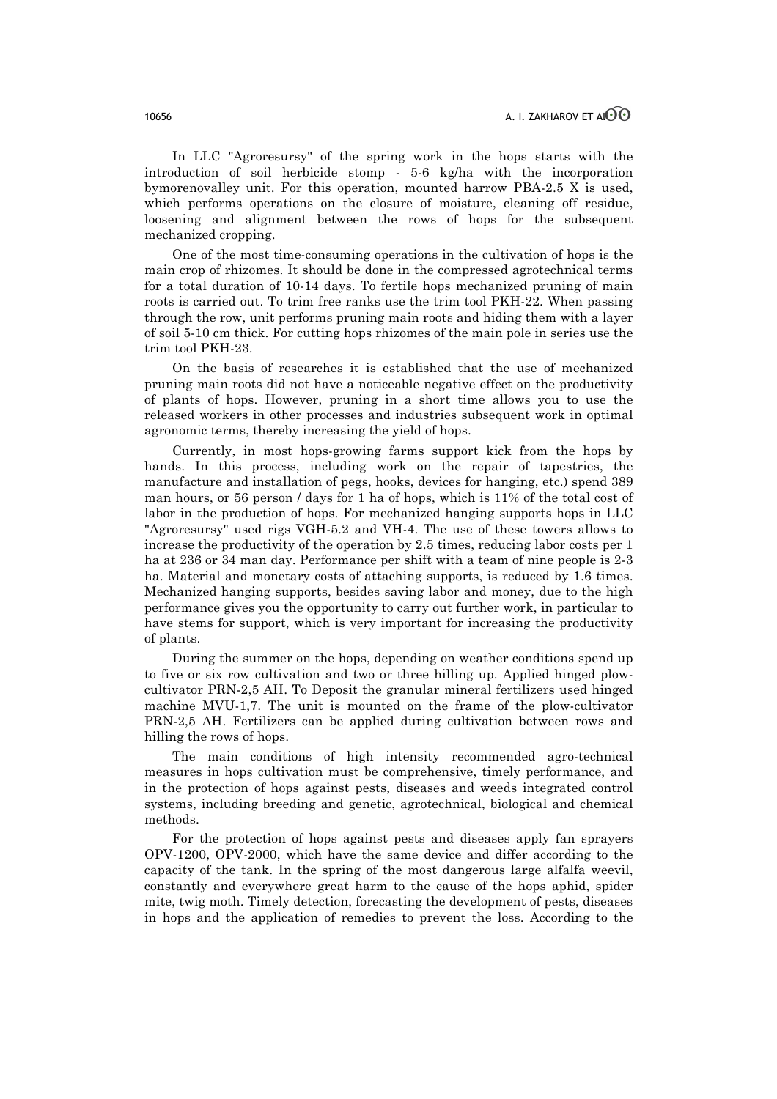In LLC "Agroresursy" of the spring work in the hops starts with the introduction of soil herbicide stomp - 5-6 kg/ha with the incorporation bymorenovalley unit. For this operation, mounted harrow PBA-2.5 X is used, which performs operations on the closure of moisture, cleaning off residue, loosening and alignment between the rows of hops for the subsequent mechanized cropping.

One of the most time-consuming operations in the cultivation of hops is the main crop of rhizomes. It should be done in the compressed agrotechnical terms for a total duration of 10-14 days. To fertile hops mechanized pruning of main roots is carried out. To trim free ranks use the trim tool PKH-22. When passing through the row, unit performs pruning main roots and hiding them with a layer of soil 5-10 cm thick. For cutting hops rhizomes of the main pole in series use the trim tool PKH-23.

On the basis of researches it is established that the use of mechanized pruning main roots did not have a noticeable negative effect on the productivity of plants of hops. However, pruning in a short time allows you to use the released workers in other processes and industries subsequent work in optimal agronomic terms, thereby increasing the yield of hops.

Currently, in most hops-growing farms support kick from the hops by hands. In this process, including work on the repair of tapestries, the manufacture and installation of pegs, hooks, devices for hanging, etc.) spend 389 man hours, or 56 person / days for 1 ha of hops, which is 11% of the total cost of labor in the production of hops. For mechanized hanging supports hops in LLC "Agroresursy" used rigs VGH-5.2 and VH-4. The use of these towers allows to increase the productivity of the operation by 2.5 times, reducing labor costs per 1 ha at 236 or 34 man day. Performance per shift with a team of nine people is 2-3 ha. Material and monetary costs of attaching supports, is reduced by 1.6 times. Mechanized hanging supports, besides saving labor and money, due to the high performance gives you the opportunity to carry out further work, in particular to have stems for support, which is very important for increasing the productivity of plants.

During the summer on the hops, depending on weather conditions spend up to five or six row cultivation and two or three hilling up. Applied hinged plowcultivator PRN-2,5 AH. To Deposit the granular mineral fertilizers used hinged machine MVU-1,7. The unit is mounted on the frame of the plow-cultivator PRN-2,5 AH. Fertilizers can be applied during cultivation between rows and hilling the rows of hops.

The main conditions of high intensity recommended agro-technical measures in hops cultivation must be comprehensive, timely performance, and in the protection of hops against pests, diseases and weeds integrated control systems, including breeding and genetic, agrotechnical, biological and chemical methods.

For the protection of hops against pests and diseases apply fan sprayers OPV-1200, OPV-2000, which have the same device and differ according to the capacity of the tank. In the spring of the most dangerous large alfalfa weevil, constantly and everywhere great harm to the cause of the hops aphid, spider mite, twig moth. Timely detection, forecasting the development of pests, diseases in hops and the application of remedies to prevent the loss. According to the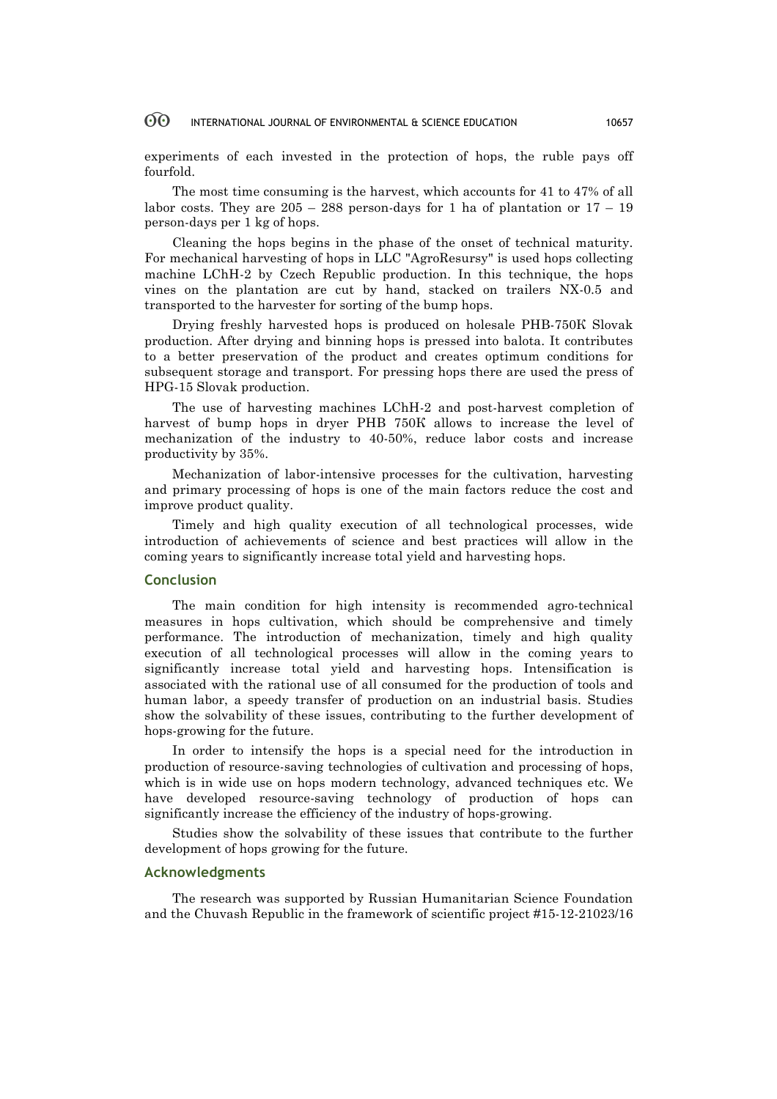#### 60 INTERNATIONAL JOURNAL OF ENVIRONMENTAL & SCIENCE EDUCATION 10657

experiments of each invested in the protection of hops, the ruble pays off fourfold.

The most time consuming is the harvest, which accounts for 41 to 47% of all labor costs. They are  $205 - 288$  person-days for 1 ha of plantation or  $17 - 19$ person-days per 1 kg of hops.

Cleaning the hops begins in the phase of the onset of technical maturity. For mechanical harvesting of hops in LLC "AgroResursy" is used hops collecting machine LChH-2 by Czech Republic production. In this technique, the hops vines on the plantation are cut by hand, stacked on trailers NX-0.5 and transported to the harvester for sorting of the bump hops.

Drying freshly harvested hops is produced on holesale PHB-750К Slovak production. After drying and binning hops is pressed into balota. It contributes to a better preservation of the product and creates optimum conditions for subsequent storage and transport. For pressing hops there are used the press of HPG-15 Slovak production.

The use of harvesting machines LChH-2 and post-harvest completion of harvest of bump hops in dryer PHB 750К allows to increase the level of mechanization of the industry to 40-50%, reduce labor costs and increase productivity by 35%.

Mechanization of labor-intensive processes for the cultivation, harvesting and primary processing of hops is one of the main factors reduce the cost and improve product quality.

Timely and high quality execution of all technological processes, wide introduction of achievements of science and best practices will allow in the coming years to significantly increase total yield and harvesting hops.

# **Conclusion**

The main condition for high intensity is recommended agro-technical measures in hops cultivation, which should be comprehensive and timely performance. The introduction of mechanization, timely and high quality execution of all technological processes will allow in the coming years to significantly increase total yield and harvesting hops. Intensification is associated with the rational use of all consumed for the production of tools and human labor, a speedy transfer of production on an industrial basis. Studies show the solvability of these issues, contributing to the further development of hops-growing for the future.

In order to intensify the hops is a special need for the introduction in production of resource-saving technologies of cultivation and processing of hops, which is in wide use on hops modern technology, advanced techniques etc. We have developed resource-saving technology of production of hops can significantly increase the efficiency of the industry of hops-growing.

Studies show the solvability of these issues that contribute to the further development of hops growing for the future.

### **Acknowledgments**

The research was supported by Russian Humanitarian Science Foundation and the Chuvash Republic in the framework of scientific project #15-12-21023/16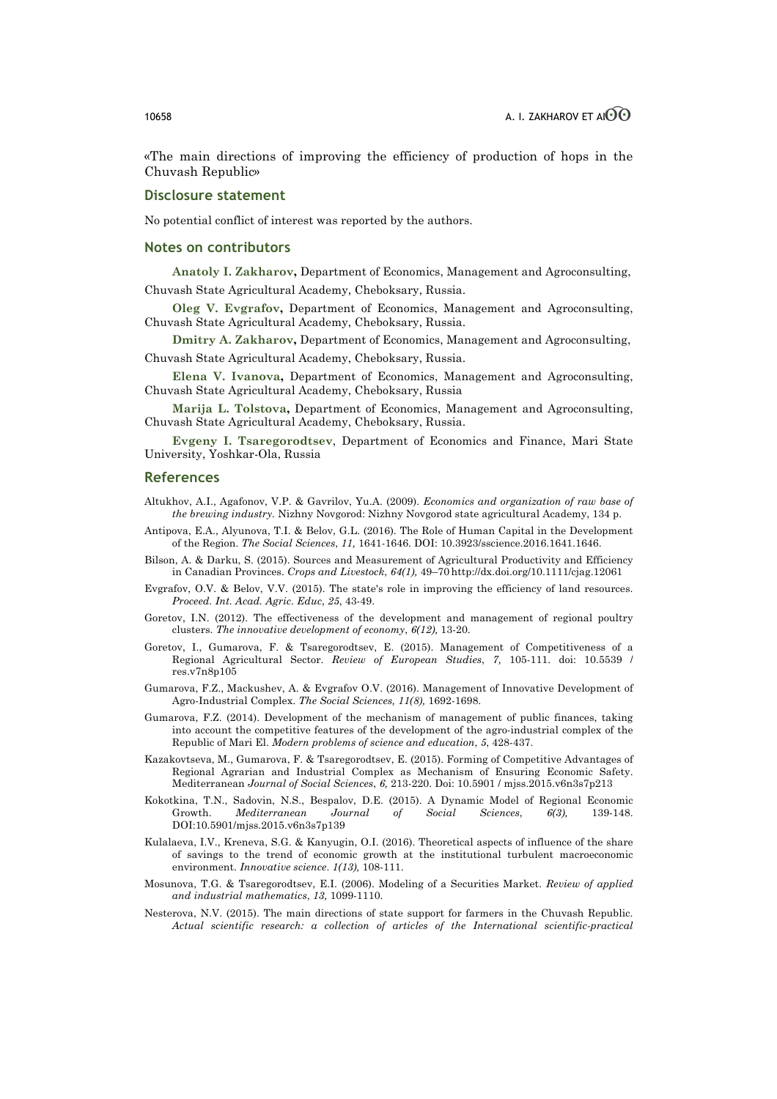«The main directions of improving the efficiency of production of hops in the Chuvash Republic»

### **Disclosure statement**

No potential conflict of interest was reported by the authors.

### **Notes on contributors**

**Anatoly I. Zakharov,** Department of Economics, Management and Agroconsulting, Chuvash State Agricultural Academy, Cheboksary, Russia.

**Oleg V. Evgrafov,** Department of Economics, Management and Agroconsulting, Chuvash State Agricultural Academy, Cheboksary, Russia.

**Dmitry A. Zakharov,** Department of Economics, Management and Agroconsulting, Chuvash State Agricultural Academy, Cheboksary, Russia.

**Elena V. Ivanova,** Department of Economics, Management and Agroconsulting, Chuvash State Agricultural Academy, Cheboksary, Russia

**Marija L. Tolstova,** Department of Economics, Management and Agroconsulting, Chuvash State Agricultural Academy, Cheboksary, Russia.

**Evgeny I. Tsaregorodtsev**, Department of Economics and Finance, Mari State University, Yoshkar-Ola, Russia

# **References**

- Altukhov, A.I., Agafonov, V.P. & Gavrilov, Yu.A. (2009). *Economics and organization of raw base of the brewing industry.* Nizhny Novgorod: Nizhny Novgorod state agricultural Academy, 134 p.
- Antipova, E.A., Alyunova, T.I. & Belov, G.L. (2016). The Role of Human Capital in the Development of the Region. *The Social Sciences*, *11,* 1641-1646. DOI: 10.3923/sscience.2016.1641.1646.
- Bilson, A. & Darku, S. (2015). Sources and Measurement of Agricultural Productivity and Efficiency in Canadian Provinces. *Crops and Livestock*, *64(1),* 49–70 http://dx.doi.org/10.1111/cjag.12061
- Evgrafov, O.V. & Belov, V.V. (2015). The state's role in improving the efficiency of land resources. *Proceed. Int. Acad. Agric. Educ*, *25*, 43-49.
- Goretov, I.N. (2012). The effectiveness of the development and management of regional poultry clusters. *The innovative development of economy*, *6(12),* 13-20.
- Goretov, I., Gumarova, F. & Tsaregorodtsev, E. (2015). Management of Competitiveness of a Regional Agricultural Sector. *Review of European Studies*, *7,* 105-111. doi: 10.5539 / res.v7n8p105
- Gumarova, F.Z., Mackushev, A. & Evgrafov O.V. (2016). Management of Innovative Development of Agro-Industrial Complex. *The Social Sciences, 11(8),* 1692-1698.
- Gumarova, F.Z. (2014). Development of the mechanism of management of public finances, taking into account the competitive features of the development of the agro-industrial complex of the Republic of Mari El. *Modern problems of science and education*, *5*, 428-437.
- Kazakovtseva, M., Gumarova, F. & Tsaregorodtsev, E. (2015). Forming of Competitive Advantages of Regional Agrarian and Industrial Complex as Mechanism of Ensuring Economic Safety. Mediterranean *Journal of Social Sciences*, *6,* 213-220. Doi: 10.5901 / mjss.2015.v6n3s7p213
- Kokotkina, T.N., Sadovin, N.S., Bespalov, D.E. (2015). A Dynamic Model of Regional Economic Growth. *Mediterranean Journal of Social Sciences*, *6(3),* 139-148. DOI:10.5901/mjss.2015.v6n3s7p139
- Kulalaeva, I.V., Kreneva, S.G. & Kanyugin, O.I. (2016). Theoretical aspects of influence of the share of savings to the trend of economic growth at the institutional turbulent macroeconomic environment. *Innovative science*. *1(13),* 108-111.
- Mosunova, T.G. & Tsaregorodtsev, E.I. (2006). Modeling of a Securities Market. *Review of applied and industrial mathematics*, *13,* 1099-1110.
- Nesterova, N.V. (2015). The main directions of state support for farmers in the Chuvash Republic. *Actual scientific research: a collection of articles of the International scientific-practical*